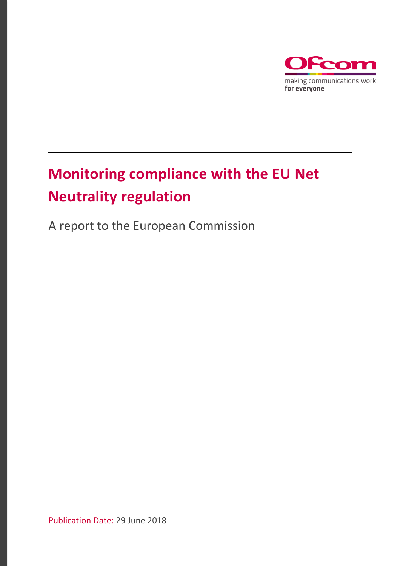

# **Monitoring compliance with the EU Net Neutrality regulation**

A report to the European Commission

Publication Date: 29 June 2018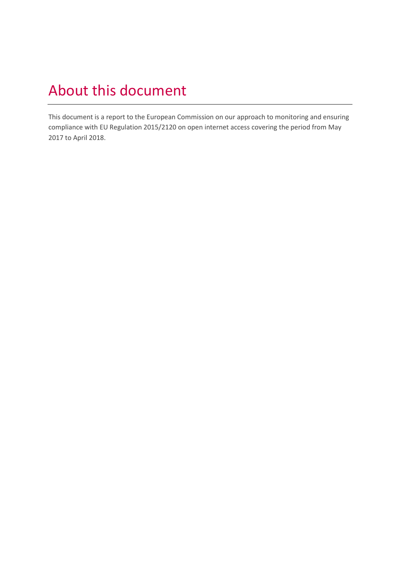## About this document

This document is a report to the European Commission on our approach to monitoring and ensuring compliance with EU Regulation 2015/2120 on open internet access covering the period from May 2017 to April 2018.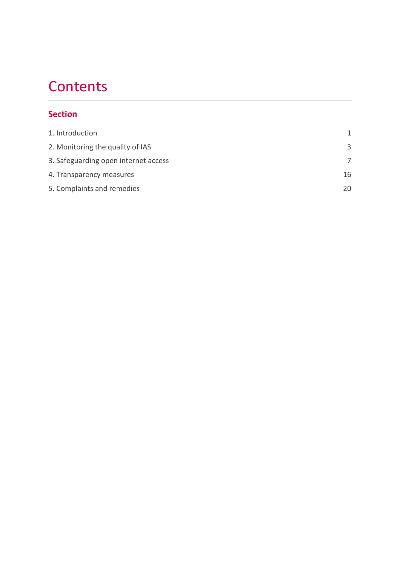## **Contents**

## **Section**

| 1. Introduction                      | 1. |
|--------------------------------------|----|
| 2. Monitoring the quality of IAS     | 3  |
| 3. Safeguarding open internet access |    |
| 4. Transparency measures             | 16 |
| 5. Complaints and remedies           | 20 |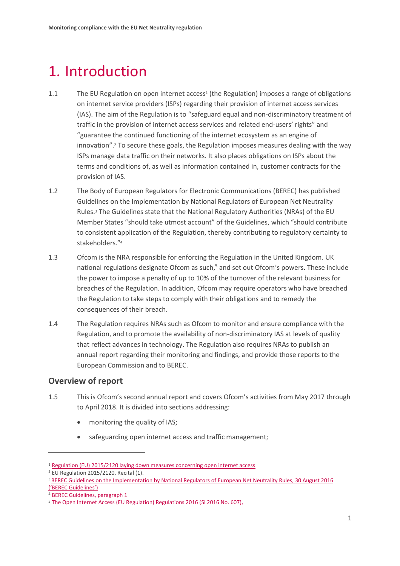## <span id="page-3-0"></span>1. Introduction

- 1.1 The EU Regulation on open internet access<sup>1</sup> (the Regulation) imposes a range of obligations on internet service providers (ISPs) regarding their provision of internet access services (IAS). The aim of the Regulation is to "safeguard equal and non-discriminatory treatment of traffic in the provision of internet access services and related end-users' rights" and "guarantee the continued functioning of the internet ecosystem as an engine of innovation".<sup>2</sup> To secure these goals, the Regulation imposes measures dealing with the way ISPs manage data traffic on their networks. It also places obligations on ISPs about the terms and conditions of, as well as information contained in, customer contracts for the provision of IAS.
- 1.2 The Body of European Regulators for Electronic Communications (BEREC) has published Guidelines on the Implementation by National Regulators of European Net Neutrality Rules. <sup>3</sup> The Guidelines state that the National Regulatory Authorities (NRAs) of the EU Member States "should take utmost account" of the Guidelines, which "should contribute to consistent application of the Regulation, thereby contributing to regulatory certainty to stakeholders."<sup>4</sup>
- 1.3 Ofcom is the NRA responsible for enforcing the Regulation in the United Kingdom. UK national regulations designate Ofcom as such, <sup>5</sup> and set out Ofcom's powers. These include the power to impose a penalty of up to 10% of the turnover of the relevant business for breaches of the Regulation. In addition, Ofcom may require operators who have breached the Regulation to take steps to comply with their obligations and to remedy the consequences of their breach.
- 1.4 The Regulation requires NRAs such as Ofcom to monitor and ensure compliance with the Regulation, and to promote the availability of non-discriminatory IAS at levels of quality that reflect advances in technology. The Regulation also requires NRAs to publish an annual report regarding their monitoring and findings, and provide those reports to the European Commission and to BEREC.

## **Overview of report**

- 1.5 This is Ofcom's second annual report and covers Ofcom's activities from May 2017 through to April 2018. It is divided into sections addressing:
	- monitoring the quality of IAS;
	- safeguarding open internet access and traffic management;

<sup>&</sup>lt;sup>1</sup> [Regulation \(EU\) 2015/2120 laying down measures concerning open internet access](https://eur-lex.europa.eu/legal-content/EN/TXT/?uri=uriserv:OJ.L_.2015.310.01.0001.01.ENG&toc=OJ:L:2015:310:TOC)

<sup>2</sup> EU Regulation 2015/2120, Recital (1).

<sup>&</sup>lt;sup>3</sup> BEREC Guidelines on the Implementation by National Regulators of European Net Neutrality Rules, 30 August 2016 [\('BEREC Guidelines'\)](https://berec.europa.eu/eng/document_register/subject_matter/berec/regulatory_best_practices/guidelines/6160-berec-guidelines-on-the-implementation-by-national-regulators-of-european-net-neutrality-rules)

<sup>4</sup> [BEREC Guidelines, paragraph 1](https://berec.europa.eu/eng/document_register/subject_matter/berec/regulatory_best_practices/guidelines/6160-berec-guidelines-on-the-implementation-by-national-regulators-of-european-net-neutrality-rules)

<sup>&</sup>lt;sup>5</sup> [The Open Internet Access \(EU Regulation\) Regulations 2016 \(SI 2016 No. 607\),](http://www.legislation.gov.uk/uksi/2016/607/contents/made)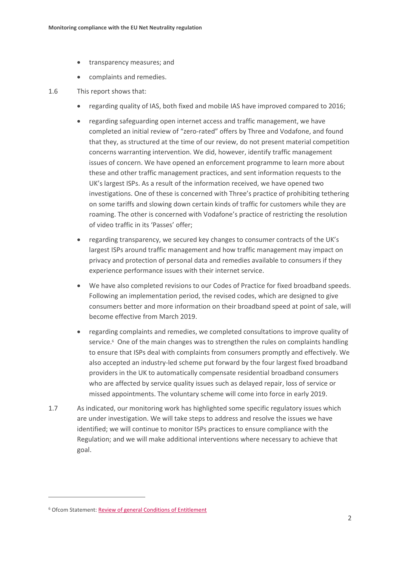- transparency measures; and
- complaints and remedies.

#### 1.6 This report shows that:

- regarding quality of IAS, both fixed and mobile IAS have improved compared to 2016;
- regarding safeguarding open internet access and traffic management, we have completed an initial review of "zero-rated" offers by Three and Vodafone, and found that they, as structured at the time of our review, do not present material competition concerns warranting intervention. We did, however, identify traffic management issues of concern. We have opened an enforcement programme to learn more about these and other traffic management practices, and sent information requests to the UK's largest ISPs. As a result of the information received, we have opened two investigations. One of these is concerned with Three's practice of prohibiting tethering on some tariffs and slowing down certain kinds of traffic for customers while they are roaming. The other is concerned with Vodafone's practice of restricting the resolution of video traffic in its 'Passes' offer;
- regarding transparency, we secured key changes to consumer contracts of the UK's largest ISPs around traffic management and how traffic management may impact on privacy and protection of personal data and remedies available to consumers if they experience performance issues with their internet service.
- We have also completed revisions to our Codes of Practice for fixed broadband speeds. Following an implementation period, the revised codes, which are designed to give consumers better and more information on their broadband speed at point of sale, will become effective from March 2019.
- regarding complaints and remedies, we completed consultations to improve quality of service.<sup>6</sup> One of the main changes was to strengthen the rules on complaints handling to ensure that ISPs deal with complaints from consumers promptly and effectively. We also accepted an industry-led scheme put forward by the four largest fixed broadband providers in the UK to automatically compensate residential broadband consumers who are affected by service quality issues such as delayed repair, loss of service or missed appointments. The voluntary scheme will come into force in early 2019.
- 1.7 As indicated, our monitoring work has highlighted some specific regulatory issues which are under investigation. We will take steps to address and resolve the issues we have identified; we will continue to monitor ISPs practices to ensure compliance with the Regulation; and we will make additional interventions where necessary to achieve that goal.

<sup>6</sup> Ofcom Statement[: Review of general Conditions of Entitlement](https://www.ofcom.org.uk/__data/assets/pdf_file/0026/106397/Statement-and-Consultation-Review-of-the-General-Conditions-of-Entitlement.pdf)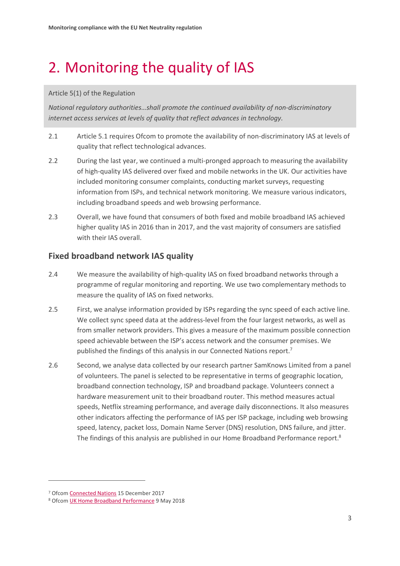# <span id="page-5-0"></span>2. Monitoring the quality of IAS

#### Article 5(1) of the Regulation

*National regulatory authorities…shall promote the continued availability of non-discriminatory internet access services at levels of quality that reflect advances in technology.*

- 2.1 Article 5.1 requires Ofcom to promote the availability of non-discriminatory IAS at levels of quality that reflect technological advances.
- 2.2 During the last year, we continued a multi-pronged approach to measuring the availability of high-quality IAS delivered over fixed and mobile networks in the UK. Our activities have included monitoring consumer complaints, conducting market surveys, requesting information from ISPs, and technical network monitoring. We measure various indicators, including broadband speeds and web browsing performance.
- 2.3 Overall, we have found that consumers of both fixed and mobile broadband IAS achieved higher quality IAS in 2016 than in 2017, and the vast majority of consumers are satisfied with their IAS overall.

### **Fixed broadband network IAS quality**

- 2.4 We measure the availability of high-quality IAS on fixed broadband networks through a programme of regular monitoring and reporting. We use two complementary methods to measure the quality of IAS on fixed networks.
- 2.5 First, we analyse information provided by ISPs regarding the sync speed of each active line. We collect sync speed data at the address-level from the four largest networks, as well as from smaller network providers. This gives a measure of the maximum possible connection speed achievable between the ISP's access network and the consumer premises. We published the findings of this analysis in our Connected Nations report.<sup>7</sup>
- 2.6 Second, we analyse data collected by our research partner SamKnows Limited from a panel of volunteers. The panel is selected to be representative in terms of geographic location, broadband connection technology, ISP and broadband package. Volunteers connect a hardware measurement unit to their broadband router. This method measures actual speeds, Netflix streaming performance, and average daily disconnections. It also measures other indicators affecting the performance of IAS per ISP package, including web browsing speed, latency, packet loss, Domain Name Server (DNS) resolution, DNS failure, and jitter. The findings of this analysis are published in our Home Broadband Performance report.<sup>8</sup>

<sup>7</sup> Ofco[m Connected Nations](https://www.ofcom.org.uk/research-and-data/multi-sector-research/infrastructure-research/connected-nations-2017) 15 December 2017

<sup>8</sup> Ofco[m UK Home Broadband Performance](https://www.ofcom.org.uk/__data/assets/pdf_file/0027/113796/home-broadband-2017.pdf) 9 May 2018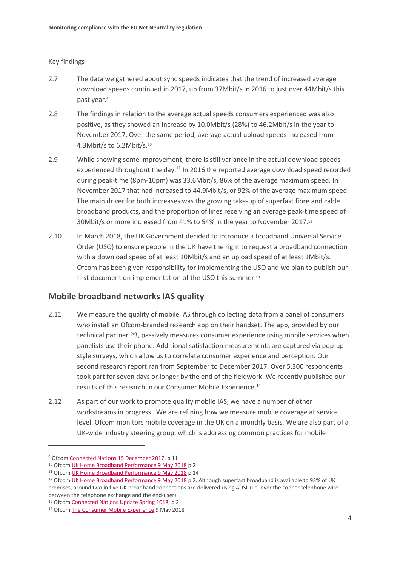#### Key findings

- 2.7 The data we gathered about sync speeds indicates that the trend of increased average download speeds continued in 2017, up from 37Mbit/s in 2016 to just over 44Mbit/s this past year. 9
- 2.8 The findings in relation to the average actual speeds consumers experienced was also positive, as they showed an increase by 10.0Mbit/s (28%) to 46.2Mbit/s in the year to November 2017. Over the same period, average actual upload speeds increased from 4.3Mbit/s to 6.2Mbit/s.<sup>10</sup>
- 2.9 While showing some improvement, there is still variance in the actual download speeds experienced throughout the day.<sup>11</sup> In 2016 the reported average download speed recorded during peak-time (8pm-10pm) was 33.6Mbit/s, 86% of the average maximum speed. In November 2017 that had increased to 44.9Mbit/s, or 92% of the average maximum speed. The main driver for both increases was the growing take-up of superfast fibre and cable broadband products, and the proportion of lines receiving an average peak-time speed of 30Mbit/s or more increased from 41% to 54% in the year to November 2017.<sup>12</sup>
- 2.10 In March 2018, the UK Government decided to introduce a broadband Universal Service Order (USO) to ensure people in the UK have the right to request a broadband connection with a download speed of at least 10Mbit/s and an upload speed of at least 1Mbit/s. Ofcom has been given responsibility for implementing the USO and we plan to publish our first document on implementation of the USO this summer.<sup>13</sup>

## **Mobile broadband networks IAS quality**

- 2.11 We measure the quality of mobile IAS through collecting data from a panel of consumers who install an Ofcom-branded research app on their handset. The app, provided by our technical partner P3, passively measures consumer experience using mobile services when panelists use their phone. Additional satisfaction measurements are captured via pop-up style surveys, which allow us to correlate consumer experience and perception. Our second research report ran from September to December 2017. Over 5,300 respondents took part for seven days or longer by the end of the fieldwork. We recently published our results of this research in our Consumer Mobile Experience. 14
- 2.12 As part of our work to promote quality mobile IAS, we have a number of other workstreams in progress. We are refining how we measure mobile coverage at service level. Ofcom monitors mobile coverage in the UK on a monthly basis. We are also part of a UK-wide industry steering group, which is addressing common practices for mobile

<sup>&</sup>lt;sup>9</sup> Ofcom **Connected Nations 15 December 2017**, p 11

<sup>10</sup> Ofco[m UK Home Broadband Performance 9 May 2018](https://www.ofcom.org.uk/__data/assets/pdf_file/0027/113796/home-broadband-2017.pdf) p 2

<sup>11</sup> Ofco[m UK Home Broadband Performance 9 May 2018](https://www.ofcom.org.uk/__data/assets/pdf_file/0027/113796/home-broadband-2017.pdf) p 14

<sup>&</sup>lt;sup>12</sup> Ofco[m UK Home Broadband Performance 9 May 2018](https://www.ofcom.org.uk/__data/assets/pdf_file/0027/113796/home-broadband-2017.pdf) p 2. Although superfast broadband is available to 93% of UK premises, around two in five UK broadband connections are delivered using ADSL (i.e. over the copper telephone wire between the telephone exchange and the end-user)

<sup>13</sup> Ofco[m Connected Nations Update Spring 2018,](https://www.ofcom.org.uk/__data/assets/pdf_file/0017/113543/Connected-Nations-update-Spring-2018.pdf) p 2

<sup>14</sup> Ofco[m The Consumer Mobile Experience](https://www.ofcom.org.uk/__data/assets/pdf_file/0028/113689/consumer-mobile-experience-2018.pdf) 9 May 2018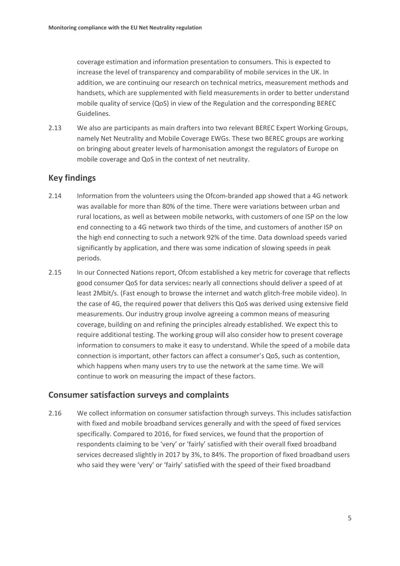coverage estimation and information presentation to consumers. This is expected to increase the level of transparency and comparability of mobile services in the UK. In addition, we are continuing our research on technical metrics, measurement methods and handsets, which are supplemented with field measurements in order to better understand mobile quality of service (QoS) in view of the Regulation and the corresponding BEREC Guidelines.

2.13 We also are participants as main drafters into two relevant BEREC Expert Working Groups, namely Net Neutrality and Mobile Coverage EWGs. These two BEREC groups are working on bringing about greater levels of harmonisation amongst the regulators of Europe on mobile coverage and QoS in the context of net neutrality.

### **Key findings**

- 2.14 Information from the volunteers using the Ofcom-branded app showed that a 4G network was available for more than 80% of the time. There were variations between urban and rural locations, as well as between mobile networks, with customers of one ISP on the low end connecting to a 4G network two thirds of the time, and customers of another ISP on the high end connecting to such a network 92% of the time. Data download speeds varied significantly by application, and there was some indication of slowing speeds in peak periods.
- 2.15 In our Connected Nations report, Ofcom established a key metric for coverage that reflects good consumer QoS for data services**:** nearly all connections should deliver a speed of at least 2Mbit/s. (Fast enough to browse the internet and watch glitch-free mobile video). In the case of 4G, the required power that delivers this QoS was derived using extensive field measurements. Our industry group involve agreeing a common means of measuring coverage, building on and refining the principles already established. We expect this to require additional testing. The working group will also consider how to present coverage information to consumers to make it easy to understand. While the speed of a mobile data connection is important, other factors can affect a consumer's QoS, such as contention, which happens when many users try to use the network at the same time. We will continue to work on measuring the impact of these factors.

#### **Consumer satisfaction surveys and complaints**

2.16 We collect information on consumer satisfaction through surveys. This includes satisfaction with fixed and mobile broadband services generally and with the speed of fixed services specifically. Compared to 2016, for fixed services, we found that the proportion of respondents claiming to be 'very' or 'fairly' satisfied with their overall fixed broadband services decreased slightly in 2017 by 3%, to 84%. The proportion of fixed broadband users who said they were 'very' or 'fairly' satisfied with the speed of their fixed broadband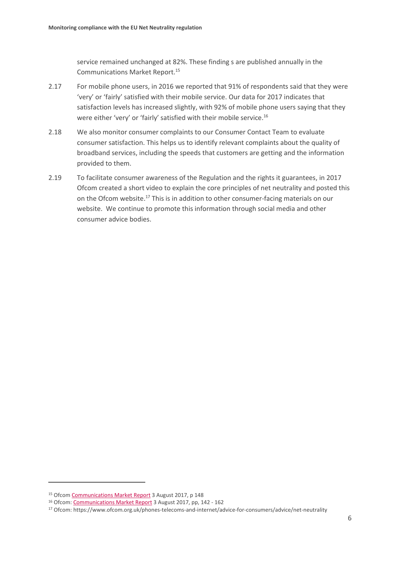service remained unchanged at 82%. These finding s are published annually in the Communications Market Report.<sup>15</sup>

- 2.17 For mobile phone users, in 2016 we reported that 91% of respondents said that they were 'very' or 'fairly' satisfied with their mobile service. Our data for 2017 indicates that satisfaction levels has increased slightly, with 92% of mobile phone users saying that they were either 'very' or 'fairly' satisfied with their mobile service.<sup>16</sup>
- 2.18 We also monitor consumer complaints to our Consumer Contact Team to evaluate consumer satisfaction. This helps us to identify relevant complaints about the quality of broadband services, including the speeds that customers are getting and the information provided to them.
- 2.19 To facilitate consumer awareness of the Regulation and the rights it guarantees, in 2017 Ofcom created a short video to explain the core principles of net neutrality and posted this on the Ofcom website.<sup>17</sup> This is in addition to other consumer-facing materials on our website. We continue to promote this information through social media and other consumer advice bodies.

<sup>15</sup> Ofco[m Communications Market Report](https://www.ofcom.org.uk/research-and-data/multi-sector-research/cmr/cmr-2017/uk) 3 August 2017, p 148

<sup>16</sup> Ofcom[: Communications Market Report](https://www.ofcom.org.uk/__data/assets/pdf_file/0017/105074/cmr-2017-uk.pdf) 3 August 2017, pp, 142 - 162

<sup>17</sup> Ofcom: https://www.ofcom.org.uk/phones-telecoms-and-internet/advice-for-consumers/advice/net-neutrality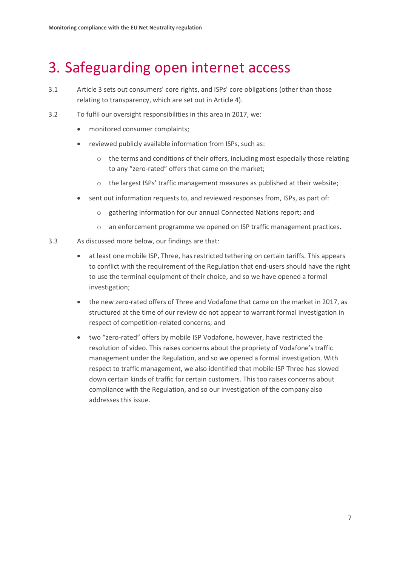## <span id="page-9-0"></span>3. Safeguarding open internet access

- 3.1 Article 3 sets out consumers' core rights, and ISPs' core obligations (other than those relating to transparency, which are set out in Article 4).
- 3.2 To fulfil our oversight responsibilities in this area in 2017, we:
	- monitored consumer complaints;
	- reviewed publicly available information from ISPs, such as:
		- $\circ$  the terms and conditions of their offers, including most especially those relating to any "zero-rated" offers that came on the market;
		- o the largest ISPs' traffic management measures as published at their website;
	- sent out information requests to, and reviewed responses from, ISPs, as part of:
		- o gathering information for our annual Connected Nations report; and
		- o an enforcement programme we opened on ISP traffic management practices.
- 3.3 As discussed more below, our findings are that:
	- at least one mobile ISP, Three, has restricted tethering on certain tariffs. This appears to conflict with the requirement of the Regulation that end-users should have the right to use the terminal equipment of their choice, and so we have opened a formal investigation;
	- the new zero-rated offers of Three and Vodafone that came on the market in 2017, as structured at the time of our review do not appear to warrant formal investigation in respect of competition-related concerns; and
	- two "zero-rated" offers by mobile ISP Vodafone, however, have restricted the resolution of video. This raises concerns about the propriety of Vodafone's traffic management under the Regulation, and so we opened a formal investigation. With respect to traffic management, we also identified that mobile ISP Three has slowed down certain kinds of traffic for certain customers. This too raises concerns about compliance with the Regulation, and so our investigation of the company also addresses this issue.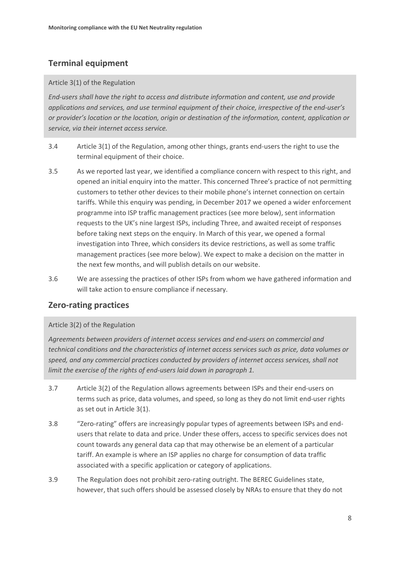## **Terminal equipment**

#### Article 3(1) of the Regulation

*End-users shall have the right to access and distribute information and content, use and provide applications and services, and use terminal equipment of their choice, irrespective of the end-user's or provider's location or the location, origin or destination of the information, content, application or service, via their internet access service.* 

- 3.4 Article 3(1) of the Regulation, among other things, grants end-users the right to use the terminal equipment of their choice.
- 3.5 As we reported last year, we identified a compliance concern with respect to this right, and opened an initial enquiry into the matter. This concerned Three's practice of not permitting customers to tether other devices to their mobile phone's internet connection on certain tariffs. While this enquiry was pending, in December 2017 we opened a wider enforcement programme into ISP traffic management practices (see more below), sent information requests to the UK's nine largest ISPs, including Three, and awaited receipt of responses before taking next steps on the enquiry. In March of this year, we opened a formal investigation into Three, which considers its device restrictions, as well as some traffic management practices (see more below). We expect to make a decision on the matter in the next few months, and will publish details on our website.
- 3.6 We are assessing the practices of other ISPs from whom we have gathered information and will take action to ensure compliance if necessary.

## **Zero-rating practices**

#### Article 3(2) of the Regulation

*Agreements between providers of internet access services and end-users on commercial and technical conditions and the characteristics of internet access services such as price, data volumes or speed, and any commercial practices conducted by providers of internet access services, shall not limit the exercise of the rights of end-users laid down in paragraph 1.* 

- 3.7 Article 3(2) of the Regulation allows agreements between ISPs and their end-users on terms such as price, data volumes, and speed, so long as they do not limit end-user rights as set out in Article 3(1).
- 3.8 "Zero-rating" offers are increasingly popular types of agreements between ISPs and endusers that relate to data and price. Under these offers, access to specific services does not count towards any general data cap that may otherwise be an element of a particular tariff. An example is where an ISP applies no charge for consumption of data traffic associated with a specific application or category of applications.
- 3.9 The Regulation does not prohibit zero-rating outright. The BEREC Guidelines state, however, that such offers should be assessed closely by NRAs to ensure that they do not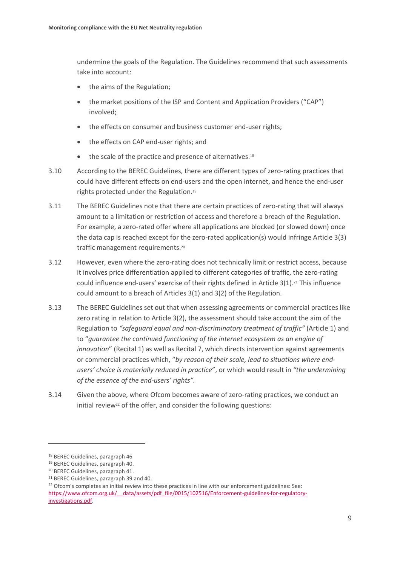undermine the goals of the Regulation. The Guidelines recommend that such assessments take into account:

- the aims of the Regulation;
- the market positions of the ISP and Content and Application Providers ("CAP") involved;
- the effects on consumer and business customer end-user rights;
- the effects on CAP end-user rights; and
- the scale of the practice and presence of alternatives.<sup>18</sup>
- 3.10 According to the BEREC Guidelines, there are different types of zero-rating practices that could have different effects on end-users and the open internet, and hence the end-user rights protected under the Regulation.<sup>19</sup>
- 3.11 The BEREC Guidelines note that there are certain practices of zero-rating that will always amount to a limitation or restriction of access and therefore a breach of the Regulation. For example, a zero-rated offer where all applications are blocked (or slowed down) once the data cap is reached except for the zero-rated application(s) would infringe Article 3(3) traffic management requirements. 20
- 3.12 However, even where the zero-rating does not technically limit or restrict access, because it involves price differentiation applied to different categories of traffic, the zero-rating could influence end-users' exercise of their rights defined in Article 3(1).<sup>21</sup> This influence could amount to a breach of Articles 3(1) and 3(2) of the Regulation.
- 3.13 The BEREC Guidelines set out that when assessing agreements or commercial practices like zero rating in relation to Article 3(2), the assessment should take account the aim of the Regulation to *"safeguard equal and non-discriminatory treatment of traffic"* (Article 1) and to "*guarantee the continued functioning of the internet ecosystem as an engine of innovation*" (Recital 1) as well as Recital 7, which directs intervention against agreements or commercial practices which, "*by reason of their scale, lead to situations where endusers' choice is materially reduced in practice*", or which would result in *"the undermining of the essence of the end-users' rights".*
- <span id="page-11-0"></span>3.14 Given the above, where Ofcom becomes aware of zero-rating practices, we conduct an initial review<sup>22</sup> of the offer, and consider the following questions:

<sup>18</sup> BEREC Guidelines, paragraph 46

<sup>19</sup> BEREC Guidelines, paragraph 40.

<sup>20</sup> BEREC Guidelines, paragraph 41.

<sup>21</sup> BEREC Guidelines, paragraph 39 and 40.

<sup>&</sup>lt;sup>22</sup> Ofcom's completes an initial review into these practices in line with our enforcement guidelines: See: https://www.ofcom.org.uk/ data/assets/pdf file/0015/102516/Enforcement-guidelines-for-regulatory[investigations.pdf.](https://www.ofcom.org.uk/__data/assets/pdf_file/0015/102516/Enforcement-guidelines-for-regulatory-investigations.pdf)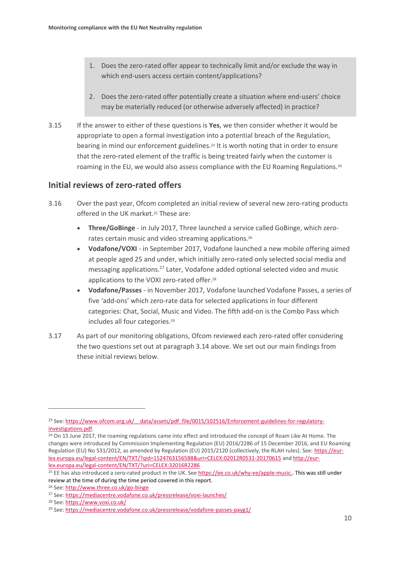- 1. Does the zero-rated offer appear to technically limit and/or exclude the way in which end-users access certain content/applications?
- 2. Does the zero-rated offer potentially create a situation where end-users' choice may be materially reduced (or otherwise adversely affected) in practice?
- 3.15 If the answer to either of these questions is **Yes**, we then consider whether it would be appropriate to open a formal investigation into a potential breach of the Regulation, bearing in mind our enforcement guidelines.<sup>23</sup> It is worth noting that in order to ensure that the zero-rated element of the traffic is being treated fairly when the customer is roaming in the EU, we would also assess compliance with the EU Roaming Regulations.<sup>24</sup>

### **Initial reviews of zero-rated offers**

- 3.16 Over the past year, Ofcom completed an initial review of several new zero-rating products offered in the UK market. <sup>25</sup> These are:
	- **Three/GoBinge** in July 2017, Three launched a service called GoBinge, which zerorates certain music and video streaming applications. 26
	- **Vodafone/VOXI** in September 2017, Vodafone launched a new mobile offering aimed at people aged 25 and under, which initially zero-rated only selected social media and messaging applications.<sup>27</sup> Later, Vodafone added optional selected video and music applications to the VOXI zero-rated offer. 28
	- **Vodafone/Passes** in November 2017, Vodafone launched Vodafone Passes, a series of five 'add-ons' which zero-rate data for selected applications in four different categories: Chat, Social, Music and Video. The fifth add-on is the Combo Pass which includes all four categories.<sup>29</sup>
- 3.17 As part of our monitoring obligations, Ofcom reviewed each zero-rated offer considering the two questions set out at paragrap[h 3.14](#page-11-0) above. We set out our main findings from these initial reviews below.

<sup>&</sup>lt;sup>23</sup> See: https://www.ofcom.org.uk/ data/assets/pdf\_file/0015/102516/Enforcement-guidelines-for-regulatory[investigations.pdf.](https://www.ofcom.org.uk/__data/assets/pdf_file/0015/102516/Enforcement-guidelines-for-regulatory-investigations.pdf)

<sup>&</sup>lt;sup>24</sup> On 15 June 2017, the roaming regulations came into effect and introduced the concept of Roam Like At Home. The changes were introduced by Commission Implementing Regulation (EU) 2016/2286 of 15 December 2016, and EU Roaming Regulation (EU) No 531/2012, as amended by Regulation (EU) 2015/2120 (collectively, the RLAH rules). See[: https://eur](https://eur-lex.europa.eu/legal-content/EN/TXT/?qid=1524763156588&uri=CELEX:02012R0531-20170615)[lex.europa.eu/legal-content/EN/TXT/?qid=1524763156588&uri=CELEX:02012R0531-20170615](https://eur-lex.europa.eu/legal-content/EN/TXT/?qid=1524763156588&uri=CELEX:02012R0531-20170615) an[d http://eur](http://eur-lex.europa.eu/legal-content/EN/TXT/?uri=CELEX:32016R2286)[lex.europa.eu/legal-content/EN/TXT/?uri=CELEX:32016R2286](http://eur-lex.europa.eu/legal-content/EN/TXT/?uri=CELEX:32016R2286)

<sup>&</sup>lt;sup>25</sup> EE has also introduced a zero-rated product in the UK. See [https://ee.co.uk/why-ee/apple-music..](https://ee.co.uk/why-ee/apple-music) This was still under review at the time of during the time period covered in this report.

<sup>26</sup> See[: http://www.three.co.uk/go-binge](http://www.three.co.uk/go-binge)

<sup>27</sup> See[: https://mediacentre.vodafone.co.uk/pressrelease/voxi-launches/](https://mediacentre.vodafone.co.uk/pressrelease/voxi-launches/)

<sup>28</sup> See[: https://www.voxi.co.uk/](https://www.voxi.co.uk/)

<sup>29</sup> See[: https://mediacentre.vodafone.co.uk/pressrelease/vodafone-passes-payg1/](https://mediacentre.vodafone.co.uk/pressrelease/vodafone-passes-payg1/)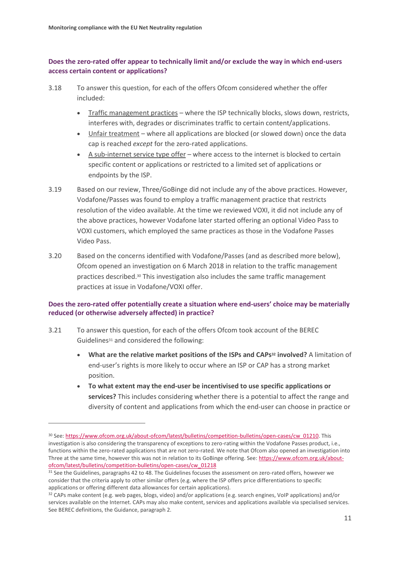#### **Does the zero-rated offer appear to technically limit and/or exclude the way in which end-users access certain content or applications?**

- 3.18 To answer this question, for each of the offers Ofcom considered whether the offer included:
	- Traffic management practices where the ISP technically blocks, slows down, restricts, interferes with, degrades or discriminates traffic to certain content/applications.
	- Unfair treatment where all applications are blocked (or slowed down) once the data cap is reached *except* for the zero-rated applications.
	- A sub-internet service type offer where access to the internet is blocked to certain specific content or applications or restricted to a limited set of applications or endpoints by the ISP.
- 3.19 Based on our review, Three/GoBinge did not include any of the above practices. However, Vodafone/Passes was found to employ a traffic management practice that restricts resolution of the video available. At the time we reviewed VOXI, it did not include any of the above practices, however Vodafone later started offering an optional Video Pass to VOXI customers, which employed the same practices as those in the Vodafone Passes Video Pass.
- 3.20 Based on the concerns identified with Vodafone/Passes (and as described more below), Ofcom opened an investigation on 6 March 2018 in relation to the traffic management practices described. <sup>30</sup> This investigation also includes the same traffic management practices at issue in Vodafone/VOXI offer.

#### **Does the zero-rated offer potentially create a situation where end-users' choice may be materially reduced (or otherwise adversely affected) in practice?**

3.21 To answer this question, for each of the offers Ofcom took account of the BEREC Guidelines<sup>31</sup> and considered the following:

- **What are the relative market positions of the ISPs and CAPs<sup>32</sup> involved?** A limitation of end-user's rights is more likely to occur where an ISP or CAP has a strong market position.
- **To what extent may the end-user be incentivised to use specific applications or services?** This includes considering whether there is a potential to affect the range and diversity of content and applications from which the end-user can choose in practice or

<sup>30</sup> See[: https://www.ofcom.org.uk/about-ofcom/latest/bulletins/competition-bulletins/open-cases/cw\\_01210.](https://www.ofcom.org.uk/about-ofcom/latest/bulletins/competition-bulletins/open-cases/cw_01210) This investigation is also considering the transparency of exceptions to zero-rating within the Vodafone Passes product, i.e., functions within the zero-rated applications that are not zero-rated. We note that Ofcom also opened an investigation into Three at the same time, however this was not in relation to its GoBinge offering. See: [https://www.ofcom.org.uk/about](https://www.ofcom.org.uk/about-ofcom/latest/bulletins/competition-bulletins/open-cases/cw_01218)[ofcom/latest/bulletins/competition-bulletins/open-cases/cw\\_01218](https://www.ofcom.org.uk/about-ofcom/latest/bulletins/competition-bulletins/open-cases/cw_01218) 

<sup>&</sup>lt;sup>31</sup> See the Guidelines, paragraphs 42 to 48. The Guidelines focuses the assessment on zero-rated offers, however we consider that the criteria apply to other similar offers (e.g. where the ISP offers price differentiations to specific applications or offering different data allowances for certain applications).

<sup>32</sup> CAPs make content (e.g. web pages, blogs, video) and/or applications (e.g. search engines, VoIP applications) and/or services available on the Internet. CAPs may also make content, services and applications available via specialised services. See BEREC definitions, the Guidance, paragraph 2.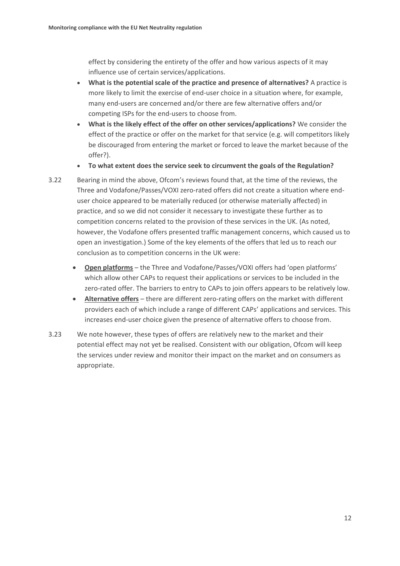effect by considering the entirety of the offer and how various aspects of it may influence use of certain services/applications.

- **What is the potential scale of the practice and presence of alternatives?** A practice is more likely to limit the exercise of end-user choice in a situation where, for example, many end-users are concerned and/or there are few alternative offers and/or competing ISPs for the end-users to choose from.
- **What is the likely effect of the offer on other services/applications?** We consider the effect of the practice or offer on the market for that service (e.g. will competitors likely be discouraged from entering the market or forced to leave the market because of the offer?).
- **To what extent does the service seek to circumvent the goals of the Regulation?**

3.22 Bearing in mind the above, Ofcom's reviews found that, at the time of the reviews, the Three and Vodafone/Passes/VOXI zero-rated offers did not create a situation where enduser choice appeared to be materially reduced (or otherwise materially affected) in practice, and so we did not consider it necessary to investigate these further as to competition concerns related to the provision of these services in the UK. (As noted, however, the Vodafone offers presented traffic management concerns, which caused us to open an investigation.) Some of the key elements of the offers that led us to reach our conclusion as to competition concerns in the UK were:

- **Open platforms** the Three and Vodafone/Passes/VOXI offers had 'open platforms' which allow other CAPs to request their applications or services to be included in the zero-rated offer. The barriers to entry to CAPs to join offers appears to be relatively low.
- **Alternative offers** there are different zero-rating offers on the market with different providers each of which include a range of different CAPs' applications and services. This increases end-user choice given the presence of alternative offers to choose from.
- 3.23 We note however, these types of offers are relatively new to the market and their potential effect may not yet be realised. Consistent with our obligation, Ofcom will keep the services under review and monitor their impact on the market and on consumers as appropriate.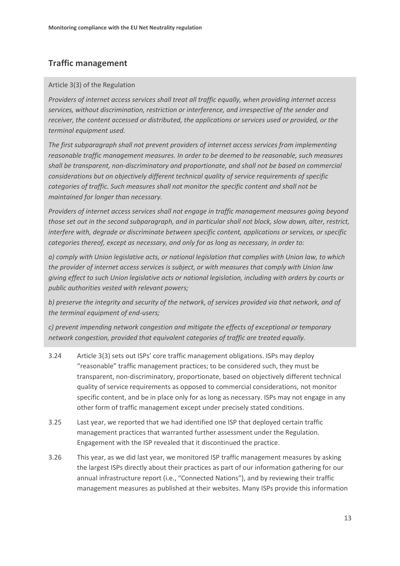## **Traffic management**

#### Article 3(3) of the Regulation

*Providers of internet access services shall treat all traffic equally, when providing internet access services, without discrimination, restriction or interference, and irrespective of the sender and receiver, the content accessed or distributed, the applications or services used or provided, or the terminal equipment used.*

*The first subparagraph shall not prevent providers of internet access services from implementing reasonable traffic management measures. In order to be deemed to be reasonable, such measures shall be transparent, non-discriminatory and proportionate, and shall not be based on commercial considerations but on objectively different technical quality of service requirements of specific categories of traffic. Such measures shall not monitor the specific content and shall not be maintained for longer than necessary.*

*Providers of internet access services shall not engage in traffic management measures going beyond those set out in the second subparagraph, and in particular shall not block, slow down, alter, restrict, interfere with, degrade or discriminate between specific content, applications or services, or specific categories thereof, except as necessary, and only for as long as necessary, in order to:*

*a) comply with Union legislative acts, or national legislation that complies with Union law, to which the provider of internet access services is subject, or with measures that comply with Union law giving effect to such Union legislative acts or national legislation, including with orders by courts or public authorities vested with relevant powers;*

*b) preserve the integrity and security of the network, of services provided via that network, and of the terminal equipment of end-users;*

*c) prevent impending network congestion and mitigate the effects of exceptional or temporary network congestion, provided that equivalent categories of traffic are treated equally.*

- 3.24 Article 3(3) sets out ISPs' core traffic management obligations. ISPs may deploy "reasonable" traffic management practices; to be considered such, they must be transparent, non-discriminatory, proportionate, based on objectively different technical quality of service requirements as opposed to commercial considerations, not monitor specific content, and be in place only for as long as necessary. ISPs may not engage in any other form of traffic management except under precisely stated conditions.
- 3.25 Last year, we reported that we had identified one ISP that deployed certain traffic management practices that warranted further assessment under the Regulation. Engagement with the ISP revealed that it discontinued the practice.
- 3.26 This year, as we did last year, we monitored ISP traffic management measures by asking the largest ISPs directly about their practices as part of our information gathering for our annual infrastructure report (i.e., "Connected Nations"), and by reviewing their traffic management measures as published at their websites. Many ISPs provide this information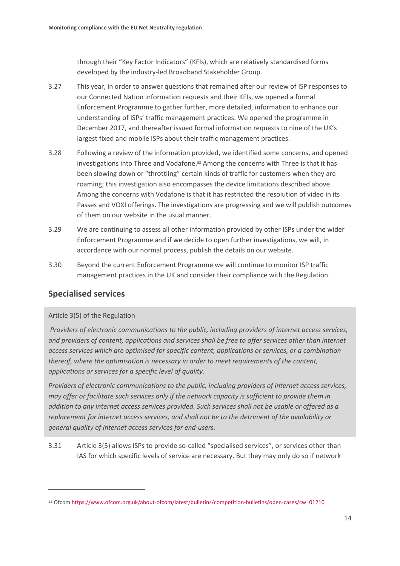through their "Key Factor Indicators" (KFIs), which are relatively standardised forms developed by the industry-led Broadband Stakeholder Group.

- 3.27 This year, in order to answer questions that remained after our review of ISP responses to our Connected Nation information requests and their KFIs, we opened a formal Enforcement Programme to gather further, more detailed, information to enhance our understanding of ISPs' traffic management practices. We opened the programme in December 2017, and thereafter issued formal information requests to nine of the UK's largest fixed and mobile ISPs about their traffic management practices.
- 3.28 Following a review of the information provided, we identified some concerns, and opened investigations into Three and Vodafone. <sup>33</sup> Among the concerns with Three is that it has been slowing down or "throttling" certain kinds of traffic for customers when they are roaming; this investigation also encompasses the device limitations described above. Among the concerns with Vodafone is that it has restricted the resolution of video in its Passes and VOXI offerings. The investigations are progressing and we will publish outcomes of them on our website in the usual manner.
- 3.29 We are continuing to assess all other information provided by other ISPs under the wider Enforcement Programme and if we decide to open further investigations, we will, in accordance with our normal process, publish the details on our website.
- 3.30 Beyond the current Enforcement Programme we will continue to monitor ISP traffic management practices in the UK and consider their compliance with the Regulation.

## **Specialised services**

 $\overline{a}$ 

#### Article 3(5) of the Regulation

*Providers of electronic communications to the public, including providers of internet access services, and providers of content, applications and services shall be free to offer services other than internet access services which are optimised for specific content, applications or services, or a combination thereof, where the optimisation is necessary in order to meet requirements of the content, applications or services for a specific level of quality.*

*Providers of electronic communications to the public, including providers of internet access services, may offer or facilitate such services only if the network capacity is sufficient to provide them in addition to any internet access services provided. Such services shall not be usable or offered as a replacement for internet access services, and shall not be to the detriment of the availability or general quality of internet access services for end-users.*

3.31 Article 3(5) allows ISPs to provide so-called "specialised services", or services other than IAS for which specific levels of service are necessary. But they may only do so if network

<sup>33</sup> Ofco[m https://www.ofcom.org.uk/about-ofcom/latest/bulletins/competition-bulletins/open-cases/cw\\_01210](https://www.ofcom.org.uk/about-ofcom/latest/bulletins/competition-bulletins/open-cases/cw_01210)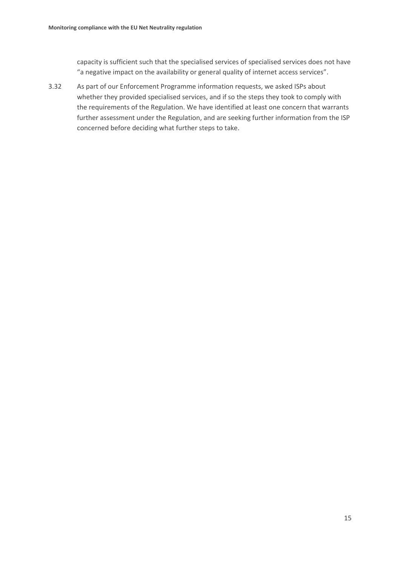capacity is sufficient such that the specialised services of specialised services does not have "a negative impact on the availability or general quality of internet access services".

3.32 As part of our Enforcement Programme information requests, we asked ISPs about whether they provided specialised services, and if so the steps they took to comply with the requirements of the Regulation. We have identified at least one concern that warrants further assessment under the Regulation, and are seeking further information from the ISP concerned before deciding what further steps to take.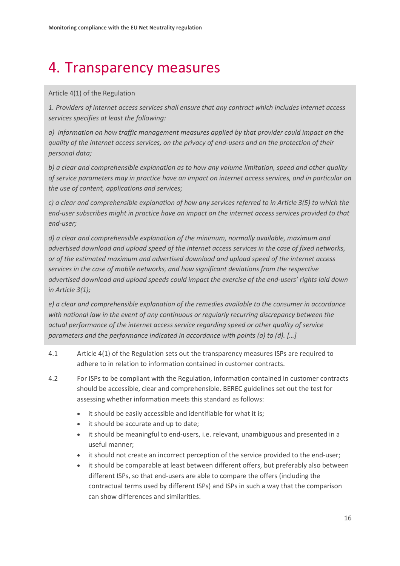## <span id="page-18-0"></span>4. Transparency measures

#### Article 4(1) of the Regulation

*1. Providers of internet access services shall ensure that any contract which includes internet access services specifies at least the following:*

*a) information on how traffic management measures applied by that provider could impact on the quality of the internet access services, on the privacy of end-users and on the protection of their personal data;*

*b) a clear and comprehensible explanation as to how any volume limitation, speed and other quality of service parameters may in practice have an impact on internet access services, and in particular on the use of content, applications and services;*

*c) a clear and comprehensible explanation of how any services referred to in Article 3(5) to which the end-user subscribes might in practice have an impact on the internet access services provided to that end-user;*

*d) a clear and comprehensible explanation of the minimum, normally available, maximum and advertised download and upload speed of the internet access services in the case of fixed networks, or of the estimated maximum and advertised download and upload speed of the internet access services in the case of mobile networks, and how significant deviations from the respective advertised download and upload speeds could impact the exercise of the end-users' rights laid down in Article 3(1);*

*e) a clear and comprehensible explanation of the remedies available to the consumer in accordance with national law in the event of any continuous or regularly recurring discrepancy between the actual performance of the internet access service regarding speed or other quality of service parameters and the performance indicated in accordance with points (a) to (d). […]*

- 4.1 Article 4(1) of the Regulation sets out the transparency measures ISPs are required to adhere to in relation to information contained in customer contracts.
- 4.2 For ISPs to be compliant with the Regulation, information contained in customer contracts should be accessible, clear and comprehensible. BEREC guidelines set out the test for assessing whether information meets this standard as follows:
	- it should be easily accessible and identifiable for what it is;
	- it should be accurate and up to date;
	- it should be meaningful to end-users, i.e. relevant, unambiguous and presented in a useful manner;
	- it should not create an incorrect perception of the service provided to the end-user;
	- it should be comparable at least between different offers, but preferably also between different ISPs, so that end-users are able to compare the offers (including the contractual terms used by different ISPs) and ISPs in such a way that the comparison can show differences and similarities.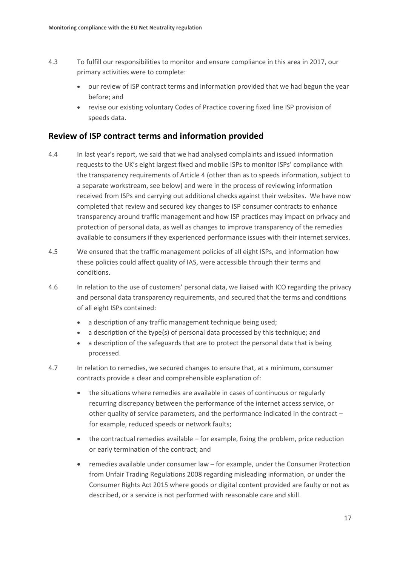- 4.3 To fulfill our responsibilities to monitor and ensure compliance in this area in 2017, our primary activities were to complete:
	- our review of ISP contract terms and information provided that we had begun the year before; and
	- revise our existing voluntary Codes of Practice covering fixed line ISP provision of speeds data.

#### **Review of ISP contract terms and information provided**

- 4.4 In last year's report, we said that we had analysed complaints and issued information requests to the UK's eight largest fixed and mobile ISPs to monitor ISPs' compliance with the transparency requirements of Article 4 (other than as to speeds information, subject to a separate workstream, see below) and were in the process of reviewing information received from ISPs and carrying out additional checks against their websites. We have now completed that review and secured key changes to ISP consumer contracts to enhance transparency around traffic management and how ISP practices may impact on privacy and protection of personal data, as well as changes to improve transparency of the remedies available to consumers if they experienced performance issues with their internet services.
- 4.5 We ensured that the traffic management policies of all eight ISPs, and information how these policies could affect quality of IAS, were accessible through their terms and conditions.
- 4.6 In relation to the use of customers' personal data, we liaised with ICO regarding the privacy and personal data transparency requirements, and secured that the terms and conditions of all eight ISPs contained:
	- a description of any traffic management technique being used;
	- a description of the type(s) of personal data processed by this technique; and
	- a description of the safeguards that are to protect the personal data that is being processed.
- 4.7 In relation to remedies, we secured changes to ensure that, at a minimum, consumer contracts provide a clear and comprehensible explanation of:
	- the situations where remedies are available in cases of continuous or regularly recurring discrepancy between the performance of the internet access service, or other quality of service parameters, and the performance indicated in the contract – for example, reduced speeds or network faults;
	- $\bullet$  the contractual remedies available for example, fixing the problem, price reduction or early termination of the contract; and
	- remedies available under consumer law for example, under the Consumer Protection from Unfair Trading Regulations 2008 regarding misleading information, or under the Consumer Rights Act 2015 where goods or digital content provided are faulty or not as described, or a service is not performed with reasonable care and skill.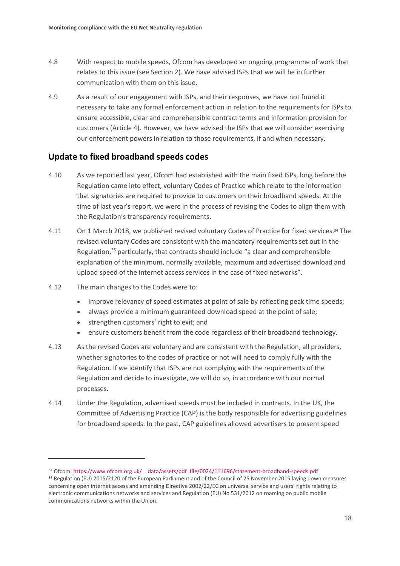- 4.8 With respect to mobile speeds, Ofcom has developed an ongoing programme of work that relates to this issue (see Section 2). We have advised ISPs that we will be in further communication with them on this issue.
- 4.9 As a result of our engagement with ISPs, and their responses, we have not found it necessary to take any formal enforcement action in relation to the requirements for ISPs to ensure accessible, clear and comprehensible contract terms and information provision for customers (Article 4). However, we have advised the ISPs that we will consider exercising our enforcement powers in relation to those requirements, if and when necessary.

### **Update to fixed broadband speeds codes**

- 4.10 As we reported last year, Ofcom had established with the main fixed ISPs, long before the Regulation came into effect, voluntary Codes of Practice which relate to the information that signatories are required to provide to customers on their broadband speeds. At the time of last year's report, we were in the process of revising the Codes to align them with the Regulation's transparency requirements.
- 4.11 On 1 March 2018, we published revised voluntary Codes of Practice for fixed services. <sup>34</sup> The revised voluntary Codes are consistent with the mandatory requirements set out in the Regulation, <sup>35</sup> particularly, that contracts should include "a clear and comprehensible explanation of the minimum, normally available, maximum and advertised download and upload speed of the internet access services in the case of fixed networks".
- 4.12 The main changes to the Codes were to:

- improve relevancy of speed estimates at point of sale by reflecting peak time speeds;
- always provide a minimum guaranteed download speed at the point of sale;
- strengthen customers' right to exit; and
- ensure customers benefit from the code regardless of their broadband technology.
- 4.13 As the revised Codes are voluntary and are consistent with the Regulation, all providers, whether signatories to the codes of practice or not will need to comply fully with the Regulation. If we identify that ISPs are not complying with the requirements of the Regulation and decide to investigate, we will do so, in accordance with our normal processes.
- 4.14 Under the Regulation, advertised speeds must be included in contracts. In the UK, the Committee of Advertising Practice (CAP) is the body responsible for advertising guidelines for broadband speeds. In the past, CAP guidelines allowed advertisers to present speed

<sup>34</sup> Ofcom: https://www.ofcom.org.uk/ data/assets/pdf file/0024/111696/statement-broadband-speeds.pdf

<sup>35</sup> Regulation (EU) 2015/2120 of the European Parliament and of the Council of 25 November 2015 laying down measures concerning open internet access and amending Directive 2002/22/EC on universal service and users' rights relating to electronic communications networks and services and Regulation (EU) No 531/2012 on roaming on public mobile communications networks within the Union.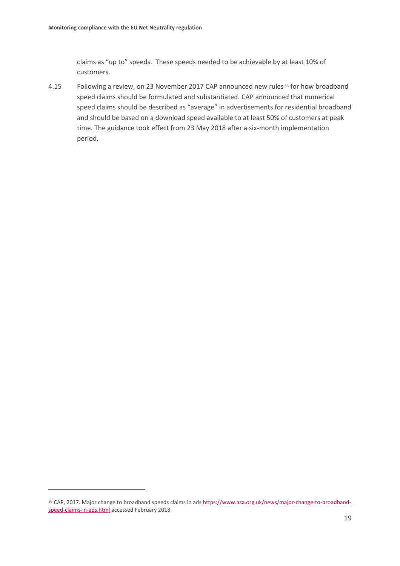claims as "up to" speeds. These speeds needed to be achievable by at least 10% of customers.

4.15 Following a review, on 23 November 2017 CAP announced new rules <sup>36</sup> for how broadband speed claims should be formulated and substantiated. CAP announced that numerical speed claims should be described as "average" in advertisements for residential broadband and should be based on a download speed available to at least 50% of customers at peak time. The guidance took effect from 23 May 2018 after a six-month implementation period.

<sup>36</sup> CAP, 2017. Major change to broadband speeds claims in ads [https://www.asa.org.uk/news/major-change-to-broadband](https://www.asa.org.uk/news/major-change-to-broadband-speed-claims-in-ads.html)[speed-claims-in-ads.html](https://www.asa.org.uk/news/major-change-to-broadband-speed-claims-in-ads.html) accessed February 2018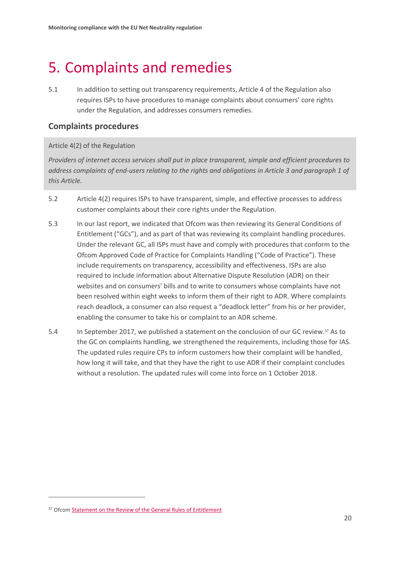## <span id="page-22-0"></span>5. Complaints and remedies

5.1 In addition to setting out transparency requirements, Article 4 of the Regulation also requires ISPs to have procedures to manage complaints about consumers' core rights under the Regulation, and addresses consumers remedies.

## **Complaints procedures**

#### Article 4(2) of the Regulation

*Providers of internet access services shall put in place transparent, simple and efficient procedures to address complaints of end-users relating to the rights and obligations in Article 3 and paragraph 1 of this Article.* 

- 5.2 Article 4(2) requires ISPs to have transparent, simple, and effective processes to address customer complaints about their core rights under the Regulation.
- 5.3 In our last report, we indicated that Ofcom was then reviewing its General Conditions of Entitlement ("GCs"), and as part of that was reviewing its complaint handling procedures. Under the relevant GC, all ISPs must have and comply with procedures that conform to the Ofcom Approved Code of Practice for Complaints Handling ("Code of Practice"). These include requirements on transparency, accessibility and effectiveness. ISPs are also required to include information about Alternative Dispute Resolution (ADR) on their websites and on consumers' bills and to write to consumers whose complaints have not been resolved within eight weeks to inform them of their right to ADR. Where complaints reach deadlock, a consumer can also request a "deadlock letter" from his or her provider, enabling the consumer to take his or complaint to an ADR scheme.
- 5.4 In September 2017, we published a statement on the conclusion of our GC review.<sup>37</sup> As to the GC on complaints handling, we strengthened the requirements, including those for IAS. The updated rules require CPs to inform customers how their complaint will be handled, how long it will take, and that they have the right to use ADR if their complaint concludes without a resolution. The updated rules will come into force on 1 October 2018.

<sup>&</sup>lt;sup>37</sup> Ofco[m Statement on the Review of the General Rules of Entitlement](https://www.ofcom.org.uk/__data/assets/pdf_file/0026/106397/Statement-and-Consultation-Review-of-the-General-Conditions-of-Entitlement.pdf)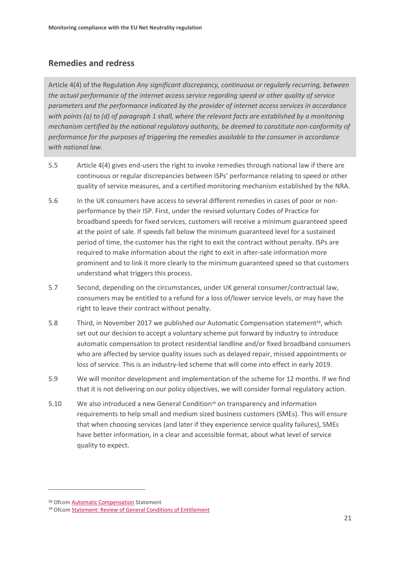### **Remedies and redress**

Article 4(4) of the Regulation *Any significant discrepancy, continuous or regularly recurring, between the actual performance of the internet access service regarding speed or other quality of service parameters and the performance indicated by the provider of internet access services in accordance with points (a) to (d) of paragraph 1 shall, where the relevant facts are established by a monitoring mechanism certified by the national regulatory authority, be deemed to constitute non-conformity of performance for the purposes of triggering the remedies available to the consumer in accordance with national law.*

- 5.5 Article 4(4) gives end-users the right to invoke remedies through national law if there are continuous or regular discrepancies between ISPs' performance relating to speed or other quality of service measures, and a certified monitoring mechanism established by the NRA.
- 5.6 In the UK consumers have access to several different remedies in cases of poor or nonperformance by their ISP. First, under the revised voluntary Codes of Practice for broadband speeds for fixed services, customers will receive a minimum guaranteed speed at the point of sale. If speeds fall below the minimum guaranteed level for a sustained period of time, the customer has the right to exit the contract without penalty. ISPs are required to make information about the right to exit in after-sale information more prominent and to link it more clearly to the minimum guaranteed speed so that customers understand what triggers this process.
- 5.7 Second, depending on the circumstances, under UK general consumer/contractual law, consumers may be entitled to a refund for a loss of/lower service levels, or may have the right to leave their contract without penalty.
- 5.8 Third, in November 2017 we published our Automatic Compensation statement<sup>38</sup>, which set out our decision to accept a voluntary scheme put forward by industry to introduce automatic compensation to protect residential landline and/or fixed broadband consumers who are affected by service quality issues such as delayed repair, missed appointments or loss of service. This is an industry-led scheme that will come into effect in early 2019.
- 5.9 We will monitor development and implementation of the scheme for 12 months. If we find that it is not delivering on our policy objectives, we will consider formal regulatory action.
- 5.10 We also introduced a new General Condition<sup>39</sup> on transparency and information requirements to help small and medium sized business customers (SMEs). This will ensure that when choosing services (and later if they experience service quality failures), SMEs have better information, in a clear and accessible format, about what level of service quality to expect.

<sup>38</sup> Ofcom **Automatic Compensation** Statement

<sup>39</sup> Ofcom Statement: Review of General Conditions of Entitlement